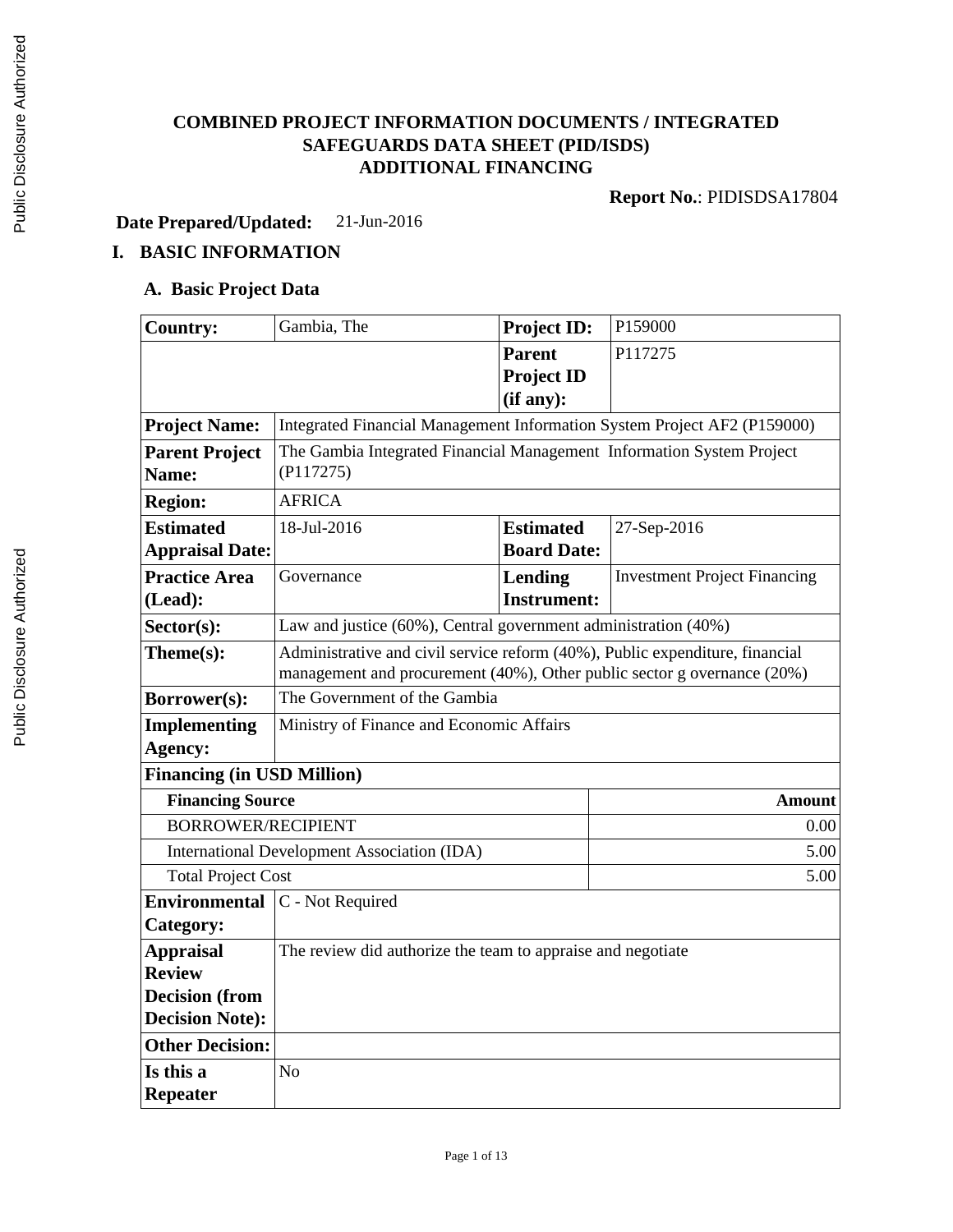# **COMBINED PROJECT INFORMATION DOCUMENTS / INTEGRATED SAFEGUARDS DATA SHEET (PID/ISDS) ADDITIONAL FINANCING**

**Report No.**: PIDISDSA17804

**Date Prepared/Updated:** 21-Jun-2016

# **I. BASIC INFORMATION**

# **A. Basic Project Data**

| <b>Country:</b>                   | Gambia, The                                                                  | <b>Project ID:</b> | P159000                             |  |  |
|-----------------------------------|------------------------------------------------------------------------------|--------------------|-------------------------------------|--|--|
|                                   |                                                                              | <b>Parent</b>      | P117275                             |  |  |
|                                   |                                                                              | <b>Project ID</b>  |                                     |  |  |
|                                   |                                                                              | (if any):          |                                     |  |  |
| <b>Project Name:</b>              | Integrated Financial Management Information System Project AF2 (P159000)     |                    |                                     |  |  |
| <b>Parent Project</b>             | The Gambia Integrated Financial Management Information System Project        |                    |                                     |  |  |
| Name:                             | (P117275)                                                                    |                    |                                     |  |  |
| <b>Region:</b>                    | <b>AFRICA</b>                                                                |                    |                                     |  |  |
| <b>Estimated</b>                  | 18-Jul-2016                                                                  | <b>Estimated</b>   | 27-Sep-2016                         |  |  |
| <b>Appraisal Date:</b>            |                                                                              | <b>Board Date:</b> |                                     |  |  |
| <b>Practice Area</b>              | Governance                                                                   | Lending            | <b>Investment Project Financing</b> |  |  |
| (Lead):                           |                                                                              | <b>Instrument:</b> |                                     |  |  |
| Sector(s):                        | Law and justice (60%), Central government administration (40%)               |                    |                                     |  |  |
| Theme(s):                         | Administrative and civil service reform (40%), Public expenditure, financial |                    |                                     |  |  |
|                                   | management and procurement (40%), Other public sector g overnance (20%)      |                    |                                     |  |  |
| Borrower(s):                      | The Government of the Gambia                                                 |                    |                                     |  |  |
| <b>Implementing</b>               | Ministry of Finance and Economic Affairs                                     |                    |                                     |  |  |
| Agency:                           |                                                                              |                    |                                     |  |  |
| <b>Financing (in USD Million)</b> |                                                                              |                    |                                     |  |  |
| <b>Financing Source</b>           |                                                                              |                    | Amount                              |  |  |
| <b>BORROWER/RECIPIENT</b>         |                                                                              |                    | 0.00                                |  |  |
|                                   | International Development Association (IDA)                                  |                    | 5.00                                |  |  |
|                                   | <b>Total Project Cost</b><br>5.00                                            |                    |                                     |  |  |
| <b>Environmental</b>              | C - Not Required                                                             |                    |                                     |  |  |
| Category:                         |                                                                              |                    |                                     |  |  |
| <b>Appraisal</b>                  | The review did authorize the team to appraise and negotiate                  |                    |                                     |  |  |
| <b>Review</b>                     |                                                                              |                    |                                     |  |  |
| <b>Decision</b> (from             |                                                                              |                    |                                     |  |  |
| <b>Decision Note:</b>             |                                                                              |                    |                                     |  |  |
| <b>Other Decision:</b>            |                                                                              |                    |                                     |  |  |
| Is this a                         | N <sub>o</sub>                                                               |                    |                                     |  |  |
| <b>Repeater</b>                   |                                                                              |                    |                                     |  |  |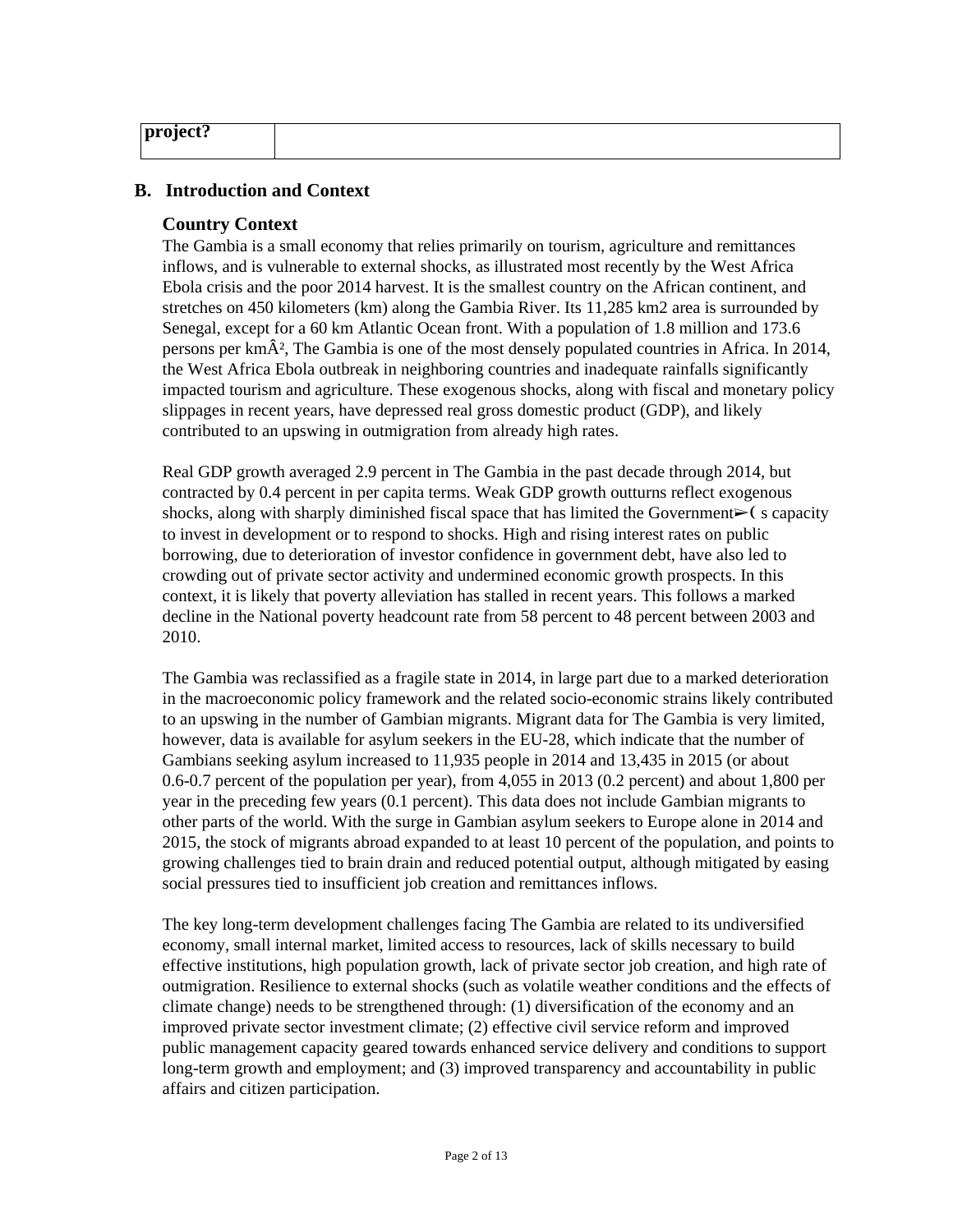| $ \mathrm{project?} $ |  |
|-----------------------|--|
|                       |  |

#### **B. Introduction and Context**

#### **Country Context**

The Gambia is a small economy that relies primarily on tourism, agriculture and remittances inflows, and is vulnerable to external shocks, as illustrated most recently by the West Africa Ebola crisis and the poor 2014 harvest. It is the smallest country on the African continent, and stretches on 450 kilometers (km) along the Gambia River. Its 11,285 km2 area is surrounded by Senegal, except for a 60 km Atlantic Ocean front. With a population of 1.8 million and 173.6 persons per  $km\hat{A}^2$ , The Gambia is one of the most densely populated countries in Africa. In 2014, the West Africa Ebola outbreak in neighboring countries and inadequate rainfalls significantly impacted tourism and agriculture. These exogenous shocks, along with fiscal and monetary policy slippages in recent years, have depressed real gross domestic product (GDP), and likely contributed to an upswing in outmigration from already high rates.

Real GDP growth averaged 2.9 percent in The Gambia in the past decade through 2014, but contracted by 0.4 percent in per capita terms. Weak GDP growth outturns reflect exogenous shocks, along with sharply diminished fiscal space that has limited the Government $\triangleright$  (scapacity to invest in development or to respond to shocks. High and rising interest rates on public borrowing, due to deterioration of investor confidence in government debt, have also led to crowding out of private sector activity and undermined economic growth prospects. In this context, it is likely that poverty alleviation has stalled in recent years. This follows a marked decline in the National poverty headcount rate from 58 percent to 48 percent between 2003 and 2010.

The Gambia was reclassified as a fragile state in 2014, in large part due to a marked deterioration in the macroeconomic policy framework and the related socio-economic strains likely contributed to an upswing in the number of Gambian migrants. Migrant data for The Gambia is very limited, however, data is available for asylum seekers in the EU-28, which indicate that the number of Gambians seeking asylum increased to 11,935 people in 2014 and 13,435 in 2015 (or about 0.6-0.7 percent of the population per year), from 4,055 in 2013 (0.2 percent) and about 1,800 per year in the preceding few years (0.1 percent). This data does not include Gambian migrants to other parts of the world. With the surge in Gambian asylum seekers to Europe alone in 2014 and 2015, the stock of migrants abroad expanded to at least 10 percent of the population, and points to growing challenges tied to brain drain and reduced potential output, although mitigated by easing social pressures tied to insufficient job creation and remittances inflows.

The key long-term development challenges facing The Gambia are related to its undiversified economy, small internal market, limited access to resources, lack of skills necessary to build effective institutions, high population growth, lack of private sector job creation, and high rate of outmigration. Resilience to external shocks (such as volatile weather conditions and the effects of climate change) needs to be strengthened through: (1) diversification of the economy and an improved private sector investment climate; (2) effective civil service reform and improved public management capacity geared towards enhanced service delivery and conditions to support long-term growth and employment; and (3) improved transparency and accountability in public affairs and citizen participation.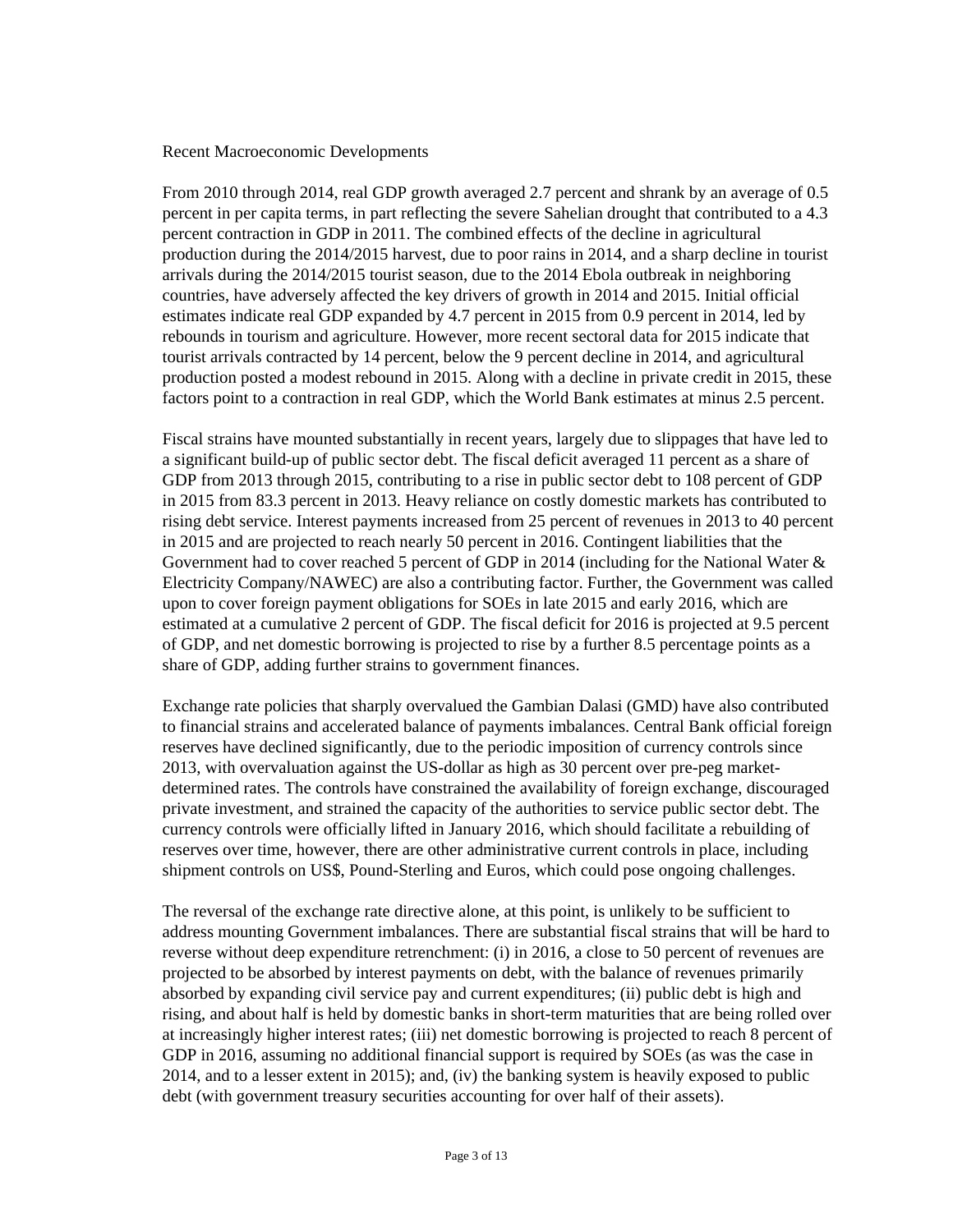Recent Macroeconomic Developments

From 2010 through 2014, real GDP growth averaged 2.7 percent and shrank by an average of 0.5 percent in per capita terms, in part reflecting the severe Sahelian drought that contributed to a 4.3 percent contraction in GDP in 2011. The combined effects of the decline in agricultural production during the 2014/2015 harvest, due to poor rains in 2014, and a sharp decline in tourist arrivals during the 2014/2015 tourist season, due to the 2014 Ebola outbreak in neighboring countries, have adversely affected the key drivers of growth in 2014 and 2015. Initial official estimates indicate real GDP expanded by 4.7 percent in 2015 from 0.9 percent in 2014, led by rebounds in tourism and agriculture. However, more recent sectoral data for 2015 indicate that tourist arrivals contracted by 14 percent, below the 9 percent decline in 2014, and agricultural production posted a modest rebound in 2015. Along with a decline in private credit in 2015, these factors point to a contraction in real GDP, which the World Bank estimates at minus 2.5 percent.

Fiscal strains have mounted substantially in recent years, largely due to slippages that have led to a significant build-up of public sector debt. The fiscal deficit averaged 11 percent as a share of GDP from 2013 through 2015, contributing to a rise in public sector debt to 108 percent of GDP in 2015 from 83.3 percent in 2013. Heavy reliance on costly domestic markets has contributed to rising debt service. Interest payments increased from 25 percent of revenues in 2013 to 40 percent in 2015 and are projected to reach nearly 50 percent in 2016. Contingent liabilities that the Government had to cover reached 5 percent of GDP in 2014 (including for the National Water & Electricity Company/NAWEC) are also a contributing factor. Further, the Government was called upon to cover foreign payment obligations for SOEs in late 2015 and early 2016, which are estimated at a cumulative 2 percent of GDP. The fiscal deficit for 2016 is projected at 9.5 percent of GDP, and net domestic borrowing is projected to rise by a further 8.5 percentage points as a share of GDP, adding further strains to government finances.

Exchange rate policies that sharply overvalued the Gambian Dalasi (GMD) have also contributed to financial strains and accelerated balance of payments imbalances. Central Bank official foreign reserves have declined significantly, due to the periodic imposition of currency controls since 2013, with overvaluation against the US-dollar as high as 30 percent over pre-peg marketdetermined rates. The controls have constrained the availability of foreign exchange, discouraged private investment, and strained the capacity of the authorities to service public sector debt. The currency controls were officially lifted in January 2016, which should facilitate a rebuilding of reserves over time, however, there are other administrative current controls in place, including shipment controls on US\$, Pound-Sterling and Euros, which could pose ongoing challenges.

The reversal of the exchange rate directive alone, at this point, is unlikely to be sufficient to address mounting Government imbalances. There are substantial fiscal strains that will be hard to reverse without deep expenditure retrenchment: (i) in 2016, a close to 50 percent of revenues are projected to be absorbed by interest payments on debt, with the balance of revenues primarily absorbed by expanding civil service pay and current expenditures; (ii) public debt is high and rising, and about half is held by domestic banks in short-term maturities that are being rolled over at increasingly higher interest rates; (iii) net domestic borrowing is projected to reach 8 percent of GDP in 2016, assuming no additional financial support is required by SOEs (as was the case in 2014, and to a lesser extent in 2015); and, (iv) the banking system is heavily exposed to public debt (with government treasury securities accounting for over half of their assets).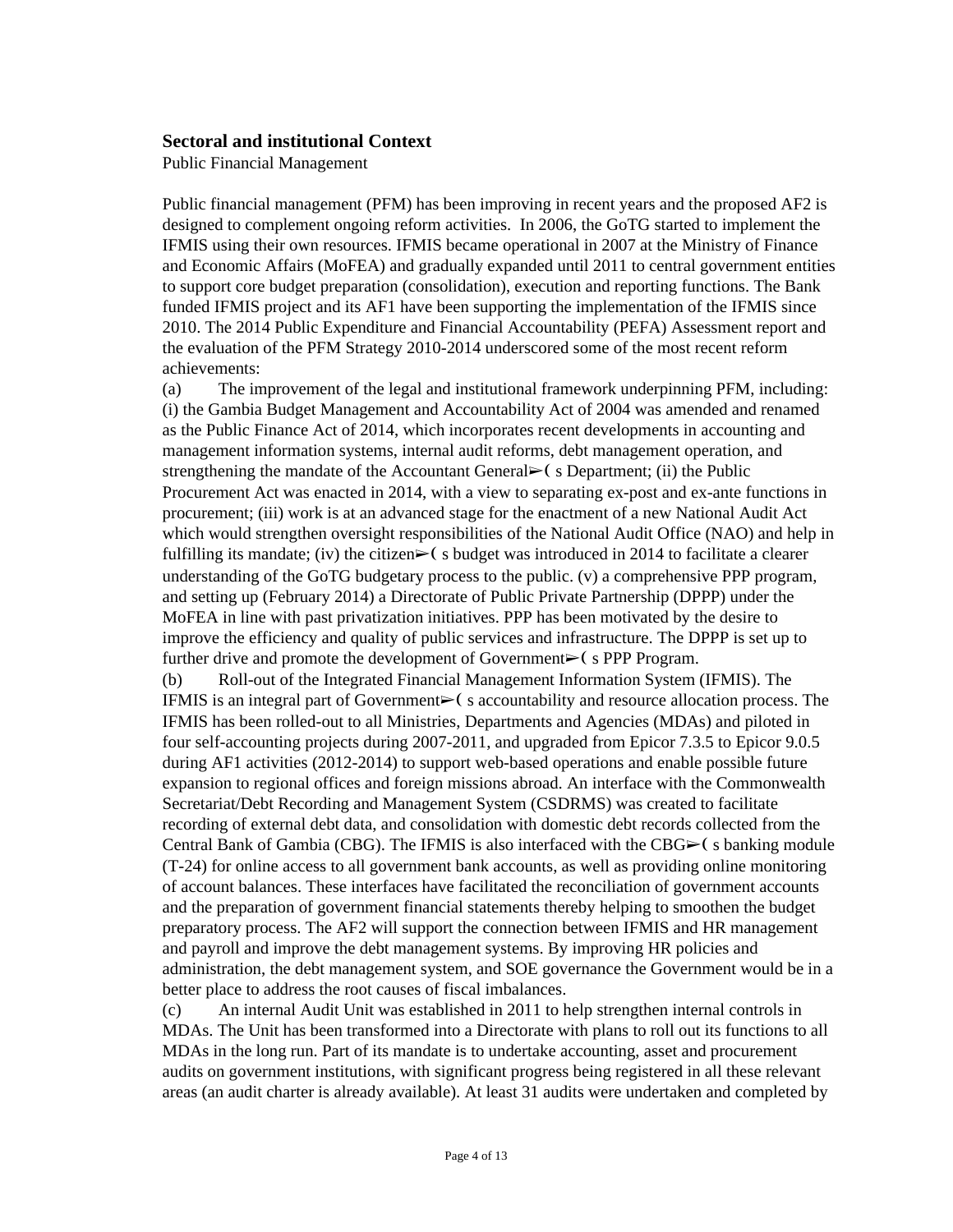#### **Sectoral and institutional Context**

Public Financial Management

Public financial management (PFM) has been improving in recent years and the proposed AF2 is designed to complement ongoing reform activities. In 2006, the GoTG started to implement the IFMIS using their own resources. IFMIS became operational in 2007 at the Ministry of Finance and Economic Affairs (MoFEA) and gradually expanded until 2011 to central government entities to support core budget preparation (consolidation), execution and reporting functions. The Bank funded IFMIS project and its AF1 have been supporting the implementation of the IFMIS since 2010. The 2014 Public Expenditure and Financial Accountability (PEFA) Assessment report and the evaluation of the PFM Strategy 2010-2014 underscored some of the most recent reform achievements:

(a) The improvement of the legal and institutional framework underpinning PFM, including: (i) the Gambia Budget Management and Accountability Act of 2004 was amended and renamed as the Public Finance Act of 2014, which incorporates recent developments in accounting and management information systems, internal audit reforms, debt management operation, and strengthening the mandate of the Accountant General $\triangleright$  (s Department; (ii) the Public Procurement Act was enacted in 2014, with a view to separating ex-post and ex-ante functions in procurement; (iii) work is at an advanced stage for the enactment of a new National Audit Act which would strengthen oversight responsibilities of the National Audit Office (NAO) and help in fulfilling its mandate; (iv) the citizen $\geq$  (s budget was introduced in 2014 to facilitate a clearer understanding of the GoTG budgetary process to the public. (v) a comprehensive PPP program, and setting up (February 2014) a Directorate of Public Private Partnership (DPPP) under the MoFEA in line with past privatization initiatives. PPP has been motivated by the desire to improve the efficiency and quality of public services and infrastructure. The DPPP is set up to further drive and promote the development of Government $\triangleright$  (s PPP Program.

(b) Roll-out of the Integrated Financial Management Information System (IFMIS). The IFMIS is an integral part of Government➢❨ s accountability and resource allocation process. The IFMIS has been rolled-out to all Ministries, Departments and Agencies (MDAs) and piloted in four self-accounting projects during 2007-2011, and upgraded from Epicor 7.3.5 to Epicor 9.0.5 during AF1 activities (2012-2014) to support web-based operations and enable possible future expansion to regional offices and foreign missions abroad. An interface with the Commonwealth Secretariat/Debt Recording and Management System (CSDRMS) was created to facilitate recording of external debt data, and consolidation with domestic debt records collected from the Central Bank of Gambia (CBG). The IFMIS is also interfaced with the  $CBG \rightarrow$  (s banking module (T-24) for online access to all government bank accounts, as well as providing online monitoring of account balances. These interfaces have facilitated the reconciliation of government accounts and the preparation of government financial statements thereby helping to smoothen the budget preparatory process. The AF2 will support the connection between IFMIS and HR management and payroll and improve the debt management systems. By improving HR policies and administration, the debt management system, and SOE governance the Government would be in a better place to address the root causes of fiscal imbalances.

(c) An internal Audit Unit was established in 2011 to help strengthen internal controls in MDAs. The Unit has been transformed into a Directorate with plans to roll out its functions to all MDAs in the long run. Part of its mandate is to undertake accounting, asset and procurement audits on government institutions, with significant progress being registered in all these relevant areas (an audit charter is already available). At least 31 audits were undertaken and completed by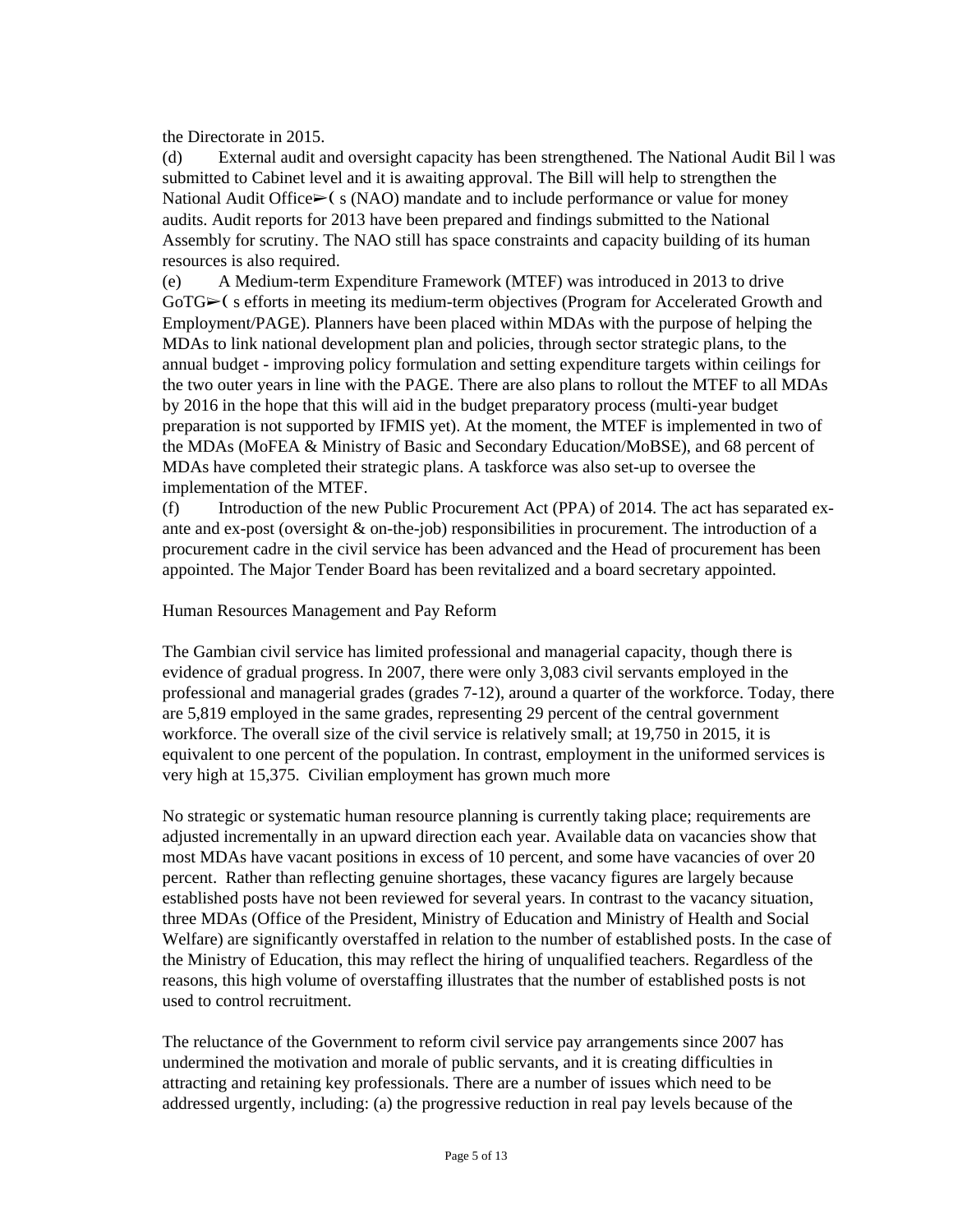the Directorate in 2015.

(d) External audit and oversight capacity has been strengthened. The National Audit Bil l was submitted to Cabinet level and it is awaiting approval. The Bill will help to strengthen the National Audit Office $\geq$ ( s (NAO) mandate and to include performance or value for money audits. Audit reports for 2013 have been prepared and findings submitted to the National Assembly for scrutiny. The NAO still has space constraints and capacity building of its human resources is also required.

(e) A Medium-term Expenditure Framework (MTEF) was introduced in 2013 to drive GoTG► (sefforts in meeting its medium-term objectives (Program for Accelerated Growth and Employment/PAGE). Planners have been placed within MDAs with the purpose of helping the MDAs to link national development plan and policies, through sector strategic plans, to the annual budget - improving policy formulation and setting expenditure targets within ceilings for the two outer years in line with the PAGE. There are also plans to rollout the MTEF to all MDAs by 2016 in the hope that this will aid in the budget preparatory process (multi-year budget preparation is not supported by IFMIS yet). At the moment, the MTEF is implemented in two of the MDAs (MoFEA & Ministry of Basic and Secondary Education/MoBSE), and 68 percent of MDAs have completed their strategic plans. A taskforce was also set-up to oversee the implementation of the MTEF.

(f) Introduction of the new Public Procurement Act (PPA) of 2014. The act has separated exante and ex-post (oversight  $\&$  on-the-job) responsibilities in procurement. The introduction of a procurement cadre in the civil service has been advanced and the Head of procurement has been appointed. The Major Tender Board has been revitalized and a board secretary appointed.

Human Resources Management and Pay Reform

The Gambian civil service has limited professional and managerial capacity, though there is evidence of gradual progress. In 2007, there were only 3,083 civil servants employed in the professional and managerial grades (grades 7-12), around a quarter of the workforce. Today, there are 5,819 employed in the same grades, representing 29 percent of the central government workforce. The overall size of the civil service is relatively small; at 19,750 in 2015, it is equivalent to one percent of the population. In contrast, employment in the uniformed services is very high at 15,375. Civilian employment has grown much more

No strategic or systematic human resource planning is currently taking place; requirements are adjusted incrementally in an upward direction each year. Available data on vacancies show that most MDAs have vacant positions in excess of 10 percent, and some have vacancies of over 20 percent. Rather than reflecting genuine shortages, these vacancy figures are largely because established posts have not been reviewed for several years. In contrast to the vacancy situation, three MDAs (Office of the President, Ministry of Education and Ministry of Health and Social Welfare) are significantly overstaffed in relation to the number of established posts. In the case of the Ministry of Education, this may reflect the hiring of unqualified teachers. Regardless of the reasons, this high volume of overstaffing illustrates that the number of established posts is not used to control recruitment.

The reluctance of the Government to reform civil service pay arrangements since 2007 has undermined the motivation and morale of public servants, and it is creating difficulties in attracting and retaining key professionals. There are a number of issues which need to be addressed urgently, including: (a) the progressive reduction in real pay levels because of the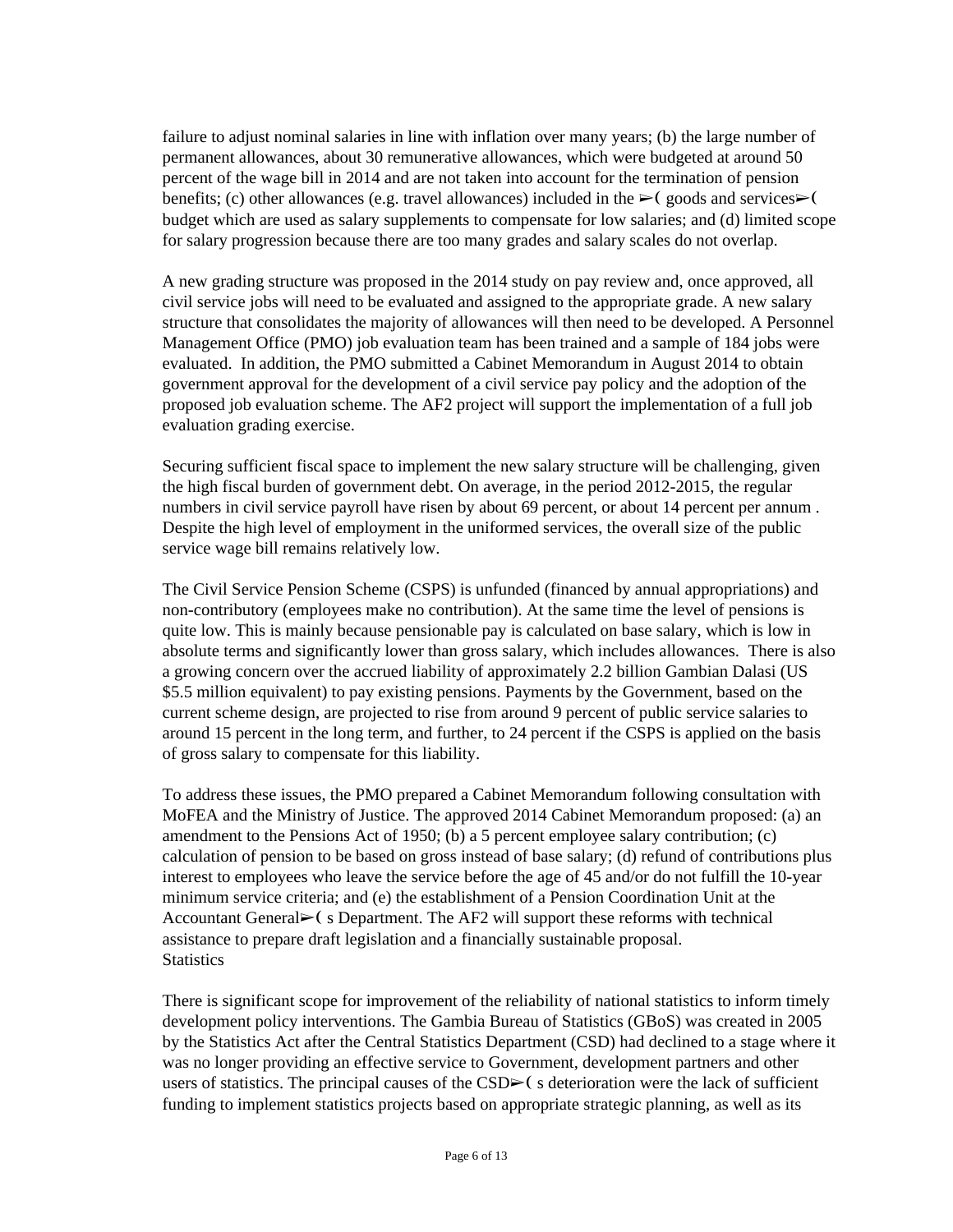failure to adjust nominal salaries in line with inflation over many years; (b) the large number of permanent allowances, about 30 remunerative allowances, which were budgeted at around 50 percent of the wage bill in 2014 and are not taken into account for the termination of pension benefits; (c) other allowances (e.g. travel allowances) included in the  $\blacktriangleright$  (goods and services $\blacktriangleright$  ( budget which are used as salary supplements to compensate for low salaries; and (d) limited scope for salary progression because there are too many grades and salary scales do not overlap.

A new grading structure was proposed in the 2014 study on pay review and, once approved, all civil service jobs will need to be evaluated and assigned to the appropriate grade. A new salary structure that consolidates the majority of allowances will then need to be developed. A Personnel Management Office (PMO) job evaluation team has been trained and a sample of 184 jobs were evaluated. In addition, the PMO submitted a Cabinet Memorandum in August 2014 to obtain government approval for the development of a civil service pay policy and the adoption of the proposed job evaluation scheme. The AF2 project will support the implementation of a full job evaluation grading exercise.

Securing sufficient fiscal space to implement the new salary structure will be challenging, given the high fiscal burden of government debt. On average, in the period 2012-2015, the regular numbers in civil service payroll have risen by about 69 percent, or about 14 percent per annum . Despite the high level of employment in the uniformed services, the overall size of the public service wage bill remains relatively low.

The Civil Service Pension Scheme (CSPS) is unfunded (financed by annual appropriations) and non-contributory (employees make no contribution). At the same time the level of pensions is quite low. This is mainly because pensionable pay is calculated on base salary, which is low in absolute terms and significantly lower than gross salary, which includes allowances. There is also a growing concern over the accrued liability of approximately 2.2 billion Gambian Dalasi (US \$5.5 million equivalent) to pay existing pensions. Payments by the Government, based on the current scheme design, are projected to rise from around 9 percent of public service salaries to around 15 percent in the long term, and further, to 24 percent if the CSPS is applied on the basis of gross salary to compensate for this liability.

To address these issues, the PMO prepared a Cabinet Memorandum following consultation with MoFEA and the Ministry of Justice. The approved 2014 Cabinet Memorandum proposed: (a) an amendment to the Pensions Act of 1950; (b) a 5 percent employee salary contribution; (c) calculation of pension to be based on gross instead of base salary; (d) refund of contributions plus interest to employees who leave the service before the age of 45 and/or do not fulfill the 10-year minimum service criteria; and (e) the establishment of a Pension Coordination Unit at the Accountant General $\triangleright$  (s Department. The AF2 will support these reforms with technical assistance to prepare draft legislation and a financially sustainable proposal. **Statistics** 

There is significant scope for improvement of the reliability of national statistics to inform timely development policy interventions. The Gambia Bureau of Statistics (GBoS) was created in 2005 by the Statistics Act after the Central Statistics Department (CSD) had declined to a stage where it was no longer providing an effective service to Government, development partners and other users of statistics. The principal causes of the  $CSD\succ$  (s deterioration were the lack of sufficient funding to implement statistics projects based on appropriate strategic planning, as well as its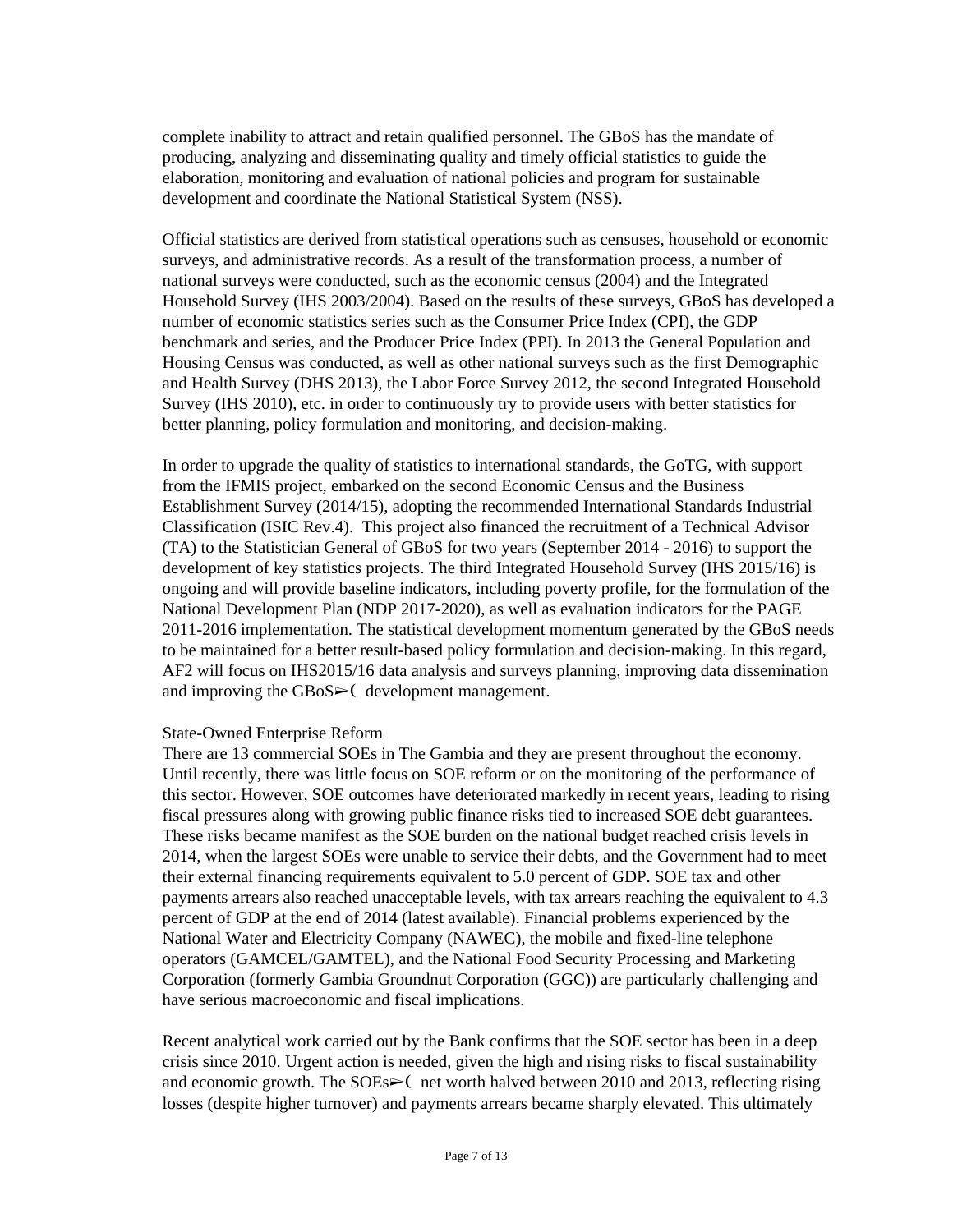complete inability to attract and retain qualified personnel. The GBoS has the mandate of producing, analyzing and disseminating quality and timely official statistics to guide the elaboration, monitoring and evaluation of national policies and program for sustainable development and coordinate the National Statistical System (NSS).

Official statistics are derived from statistical operations such as censuses, household or economic surveys, and administrative records. As a result of the transformation process, a number of national surveys were conducted, such as the economic census (2004) and the Integrated Household Survey (IHS 2003/2004). Based on the results of these surveys, GBoS has developed a number of economic statistics series such as the Consumer Price Index (CPI), the GDP benchmark and series, and the Producer Price Index (PPI). In 2013 the General Population and Housing Census was conducted, as well as other national surveys such as the first Demographic and Health Survey (DHS 2013), the Labor Force Survey 2012, the second Integrated Household Survey (IHS 2010), etc. in order to continuously try to provide users with better statistics for better planning, policy formulation and monitoring, and decision-making.

In order to upgrade the quality of statistics to international standards, the GoTG, with support from the IFMIS project, embarked on the second Economic Census and the Business Establishment Survey (2014/15), adopting the recommended International Standards Industrial Classification (ISIC Rev.4). This project also financed the recruitment of a Technical Advisor (TA) to the Statistician General of GBoS for two years (September 2014 - 2016) to support the development of key statistics projects. The third Integrated Household Survey (IHS 2015/16) is ongoing and will provide baseline indicators, including poverty profile, for the formulation of the National Development Plan (NDP 2017-2020), as well as evaluation indicators for the PAGE 2011-2016 implementation. The statistical development momentum generated by the GBoS needs to be maintained for a better result-based policy formulation and decision-making. In this regard, AF2 will focus on IHS2015/16 data analysis and surveys planning, improving data dissemination and improving the  $GBoS$  (development management.

#### State-Owned Enterprise Reform

There are 13 commercial SOEs in The Gambia and they are present throughout the economy. Until recently, there was little focus on SOE reform or on the monitoring of the performance of this sector. However, SOE outcomes have deteriorated markedly in recent years, leading to rising fiscal pressures along with growing public finance risks tied to increased SOE debt guarantees. These risks became manifest as the SOE burden on the national budget reached crisis levels in 2014, when the largest SOEs were unable to service their debts, and the Government had to meet their external financing requirements equivalent to 5.0 percent of GDP. SOE tax and other payments arrears also reached unacceptable levels, with tax arrears reaching the equivalent to 4.3 percent of GDP at the end of 2014 (latest available). Financial problems experienced by the National Water and Electricity Company (NAWEC), the mobile and fixed-line telephone operators (GAMCEL/GAMTEL), and the National Food Security Processing and Marketing Corporation (formerly Gambia Groundnut Corporation (GGC)) are particularly challenging and have serious macroeconomic and fiscal implications.

Recent analytical work carried out by the Bank confirms that the SOE sector has been in a deep crisis since 2010. Urgent action is needed, given the high and rising risks to fiscal sustainability and economic growth. The SOEs $\geq$  net worth halved between 2010 and 2013, reflecting rising losses (despite higher turnover) and payments arrears became sharply elevated. This ultimately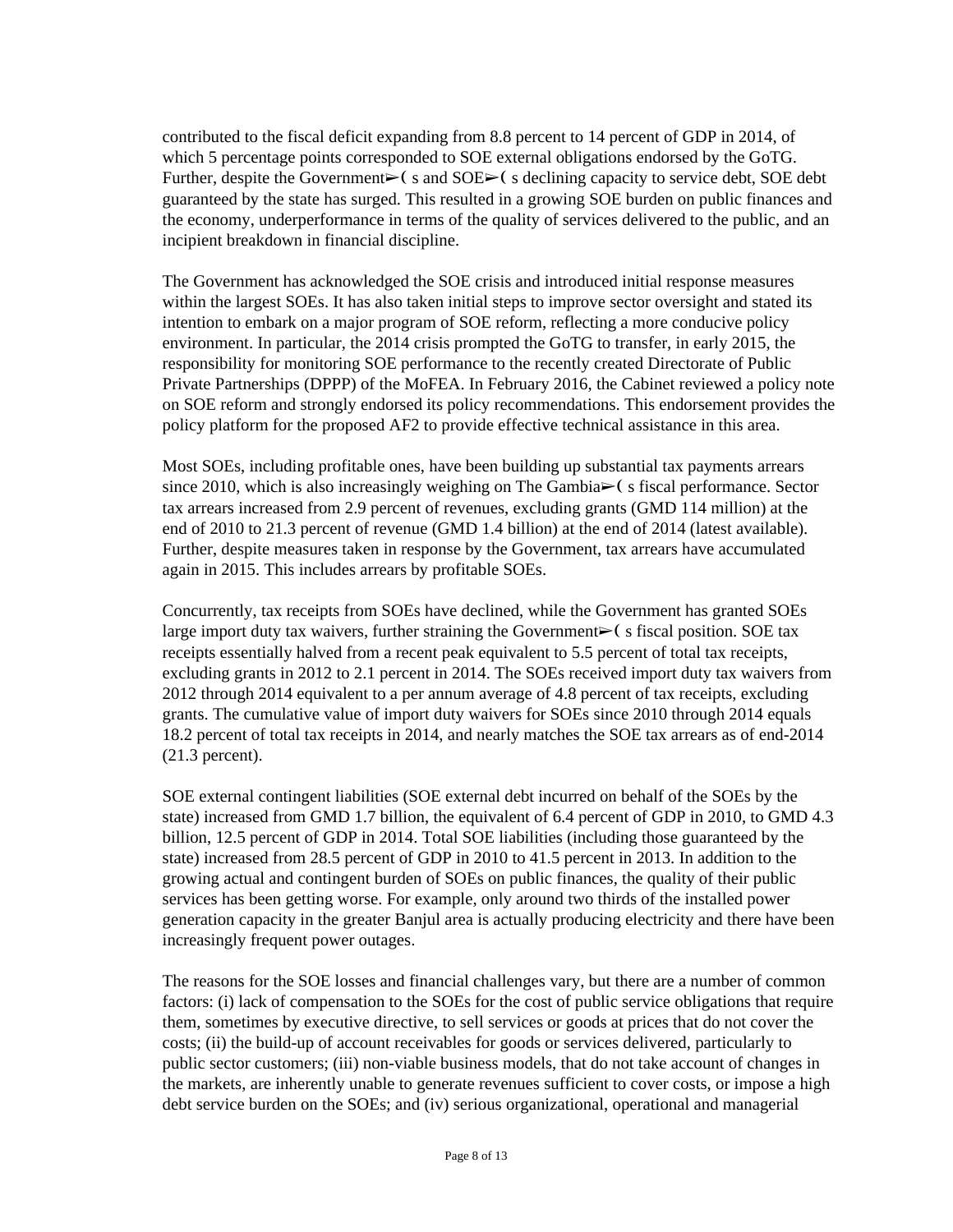contributed to the fiscal deficit expanding from 8.8 percent to 14 percent of GDP in 2014, of which 5 percentage points corresponded to SOE external obligations endorsed by the GoTG. Further, despite the Government $\triangleright$  s and SOE $\triangleright$  s declining capacity to service debt, SOE debt guaranteed by the state has surged. This resulted in a growing SOE burden on public finances and the economy, underperformance in terms of the quality of services delivered to the public, and an incipient breakdown in financial discipline.

The Government has acknowledged the SOE crisis and introduced initial response measures within the largest SOEs. It has also taken initial steps to improve sector oversight and stated its intention to embark on a major program of SOE reform, reflecting a more conducive policy environment. In particular, the 2014 crisis prompted the GoTG to transfer, in early 2015, the responsibility for monitoring SOE performance to the recently created Directorate of Public Private Partnerships (DPPP) of the MoFEA. In February 2016, the Cabinet reviewed a policy note on SOE reform and strongly endorsed its policy recommendations. This endorsement provides the policy platform for the proposed AF2 to provide effective technical assistance in this area.

Most SOEs, including profitable ones, have been building up substantial tax payments arrears since 2010, which is also increasingly weighing on The Gambia $\triangleright$  (s fiscal performance. Sector tax arrears increased from 2.9 percent of revenues, excluding grants (GMD 114 million) at the end of 2010 to 21.3 percent of revenue (GMD 1.4 billion) at the end of 2014 (latest available). Further, despite measures taken in response by the Government, tax arrears have accumulated again in 2015. This includes arrears by profitable SOEs.

Concurrently, tax receipts from SOEs have declined, while the Government has granted SOEs large import duty tax waivers, further straining the Government $\triangleright$  (s fiscal position. SOE tax receipts essentially halved from a recent peak equivalent to 5.5 percent of total tax receipts, excluding grants in 2012 to 2.1 percent in 2014. The SOEs received import duty tax waivers from 2012 through 2014 equivalent to a per annum average of 4.8 percent of tax receipts, excluding grants. The cumulative value of import duty waivers for SOEs since 2010 through 2014 equals 18.2 percent of total tax receipts in 2014, and nearly matches the SOE tax arrears as of end-2014 (21.3 percent).

SOE external contingent liabilities (SOE external debt incurred on behalf of the SOEs by the state) increased from GMD 1.7 billion, the equivalent of 6.4 percent of GDP in 2010, to GMD 4.3 billion, 12.5 percent of GDP in 2014. Total SOE liabilities (including those guaranteed by the state) increased from 28.5 percent of GDP in 2010 to 41.5 percent in 2013. In addition to the growing actual and contingent burden of SOEs on public finances, the quality of their public services has been getting worse. For example, only around two thirds of the installed power generation capacity in the greater Banjul area is actually producing electricity and there have been increasingly frequent power outages.

The reasons for the SOE losses and financial challenges vary, but there are a number of common factors: (i) lack of compensation to the SOEs for the cost of public service obligations that require them, sometimes by executive directive, to sell services or goods at prices that do not cover the costs; (ii) the build-up of account receivables for goods or services delivered, particularly to public sector customers; (iii) non-viable business models, that do not take account of changes in the markets, are inherently unable to generate revenues sufficient to cover costs, or impose a high debt service burden on the SOEs; and (iv) serious organizational, operational and managerial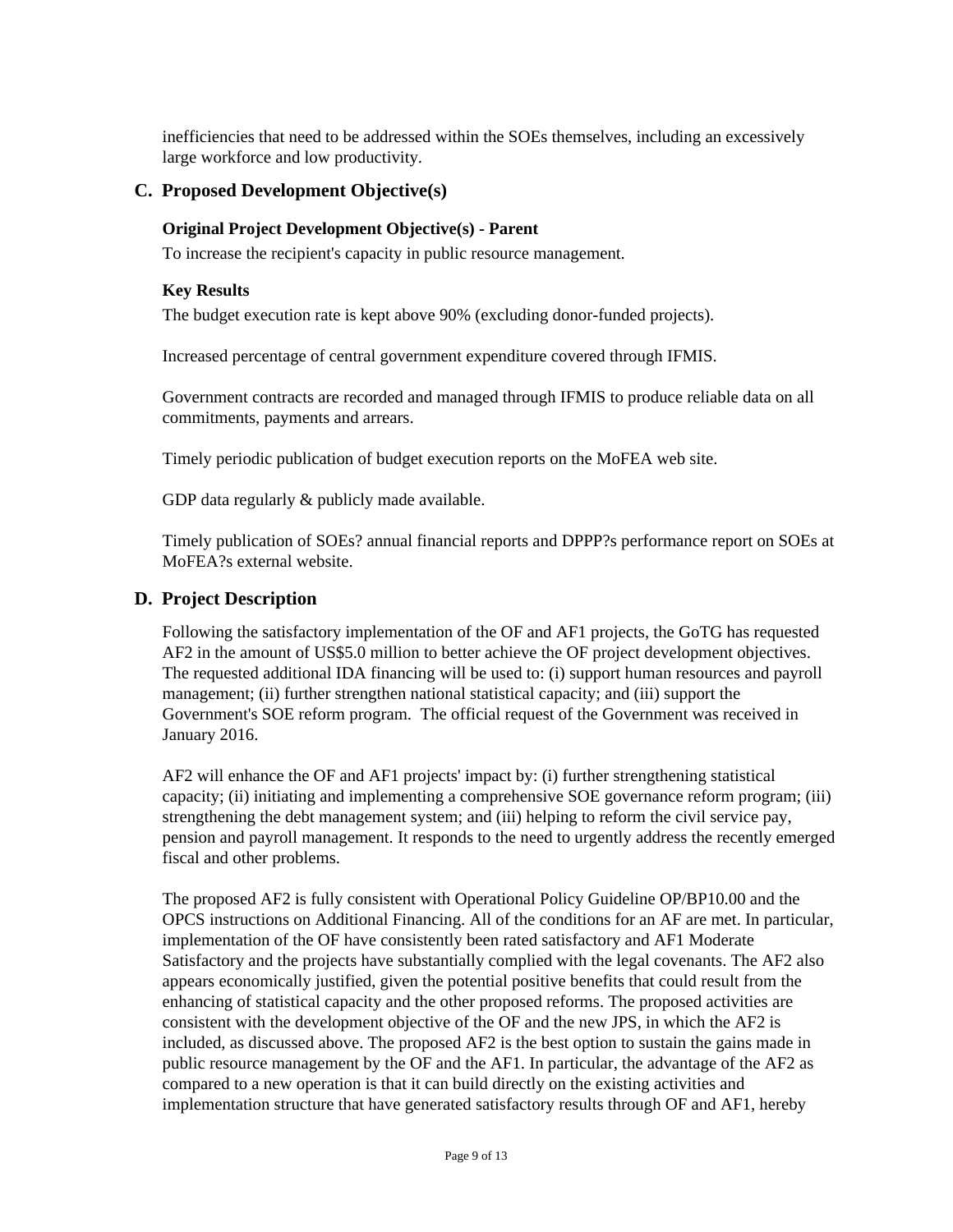inefficiencies that need to be addressed within the SOEs themselves, including an excessively large workforce and low productivity.

### **C. Proposed Development Objective(s)**

#### **Original Project Development Objective(s) - Parent**

To increase the recipient's capacity in public resource management.

#### **Key Results**

The budget execution rate is kept above 90% (excluding donor-funded projects).

Increased percentage of central government expenditure covered through IFMIS.

Government contracts are recorded and managed through IFMIS to produce reliable data on all commitments, payments and arrears.

Timely periodic publication of budget execution reports on the MoFEA web site.

GDP data regularly & publicly made available.

Timely publication of SOEs? annual financial reports and DPPP?s performance report on SOEs at MoFEA?s external website.

# **D. Project Description**

Following the satisfactory implementation of the OF and AF1 projects, the GoTG has requested AF2 in the amount of US\$5.0 million to better achieve the OF project development objectives. The requested additional IDA financing will be used to: (i) support human resources and payroll management; (ii) further strengthen national statistical capacity; and (iii) support the Government's SOE reform program. The official request of the Government was received in January 2016.

AF2 will enhance the OF and AF1 projects' impact by: (i) further strengthening statistical capacity; (ii) initiating and implementing a comprehensive SOE governance reform program; (iii) strengthening the debt management system; and (iii) helping to reform the civil service pay, pension and payroll management. It responds to the need to urgently address the recently emerged fiscal and other problems.

The proposed AF2 is fully consistent with Operational Policy Guideline OP/BP10.00 and the OPCS instructions on Additional Financing. All of the conditions for an AF are met. In particular, implementation of the OF have consistently been rated satisfactory and AF1 Moderate Satisfactory and the projects have substantially complied with the legal covenants. The AF2 also appears economically justified, given the potential positive benefits that could result from the enhancing of statistical capacity and the other proposed reforms. The proposed activities are consistent with the development objective of the OF and the new JPS, in which the AF2 is included, as discussed above. The proposed AF2 is the best option to sustain the gains made in public resource management by the OF and the AF1. In particular, the advantage of the AF2 as compared to a new operation is that it can build directly on the existing activities and implementation structure that have generated satisfactory results through OF and AF1, hereby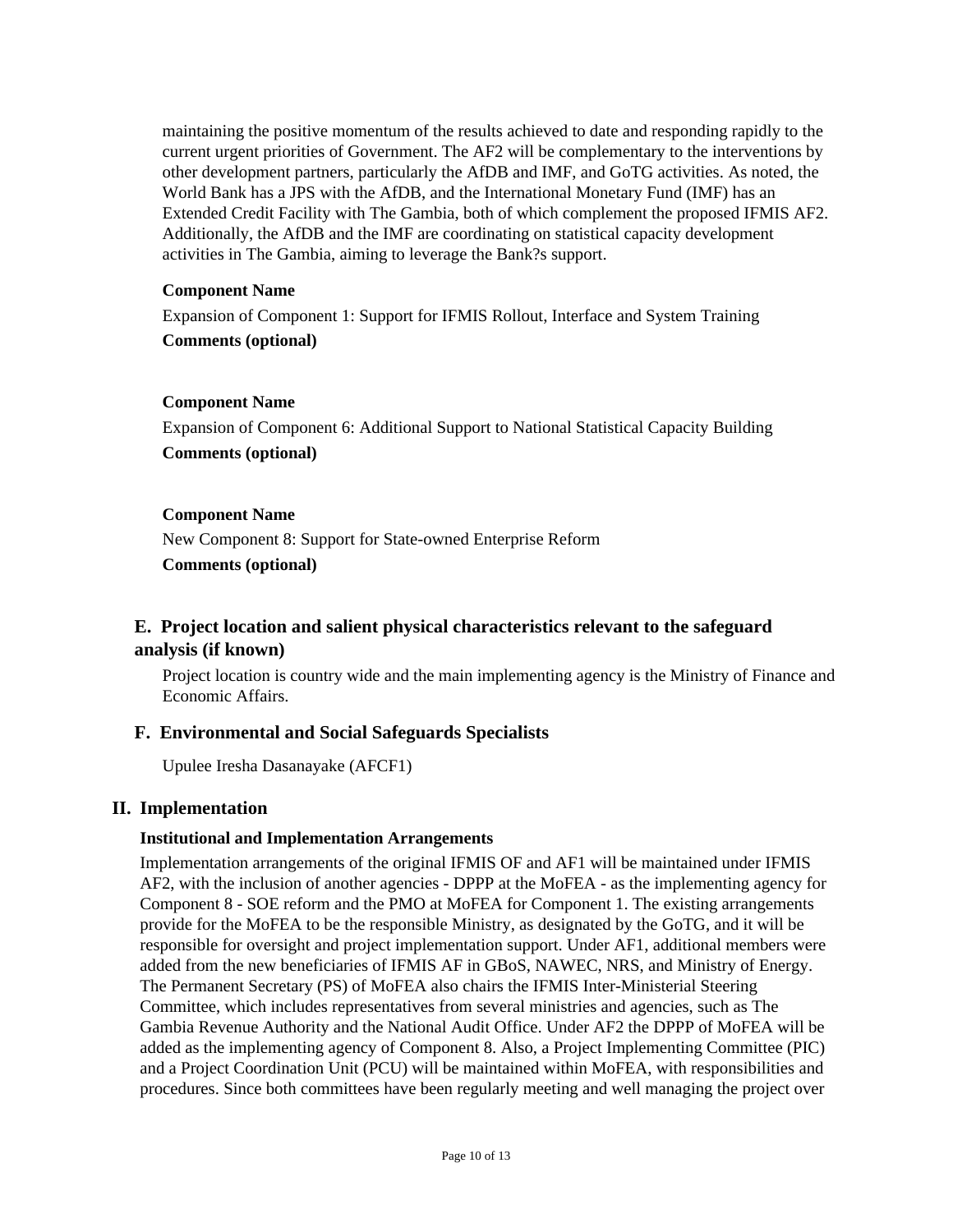maintaining the positive momentum of the results achieved to date and responding rapidly to the current urgent priorities of Government. The AF2 will be complementary to the interventions by other development partners, particularly the AfDB and IMF, and GoTG activities. As noted, the World Bank has a JPS with the AfDB, and the International Monetary Fund (IMF) has an Extended Credit Facility with The Gambia, both of which complement the proposed IFMIS AF2. Additionally, the AfDB and the IMF are coordinating on statistical capacity development activities in The Gambia, aiming to leverage the Bank?s support.

#### **Component Name**

Expansion of Component 1: Support for IFMIS Rollout, Interface and System Training **Comments (optional)**

#### **Component Name**

Expansion of Component 6: Additional Support to National Statistical Capacity Building **Comments (optional)**

#### **Component Name**

New Component 8: Support for State-owned Enterprise Reform

**Comments (optional)**

# **E. Project location and salient physical characteristics relevant to the safeguard analysis (if known)**

Project location is country wide and the main implementing agency is the Ministry of Finance and Economic Affairs.

#### **F. Environmental and Social Safeguards Specialists**

Upulee Iresha Dasanayake (AFCF1)

#### **II. Implementation**

#### **Institutional and Implementation Arrangements**

Implementation arrangements of the original IFMIS OF and AF1 will be maintained under IFMIS AF2, with the inclusion of another agencies - DPPP at the MoFEA - as the implementing agency for Component 8 - SOE reform and the PMO at MoFEA for Component 1. The existing arrangements provide for the MoFEA to be the responsible Ministry, as designated by the GoTG, and it will be responsible for oversight and project implementation support. Under AF1, additional members were added from the new beneficiaries of IFMIS AF in GBoS, NAWEC, NRS, and Ministry of Energy. The Permanent Secretary (PS) of MoFEA also chairs the IFMIS Inter-Ministerial Steering Committee, which includes representatives from several ministries and agencies, such as The Gambia Revenue Authority and the National Audit Office. Under AF2 the DPPP of MoFEA will be added as the implementing agency of Component 8. Also, a Project Implementing Committee (PIC) and a Project Coordination Unit (PCU) will be maintained within MoFEA, with responsibilities and procedures. Since both committees have been regularly meeting and well managing the project over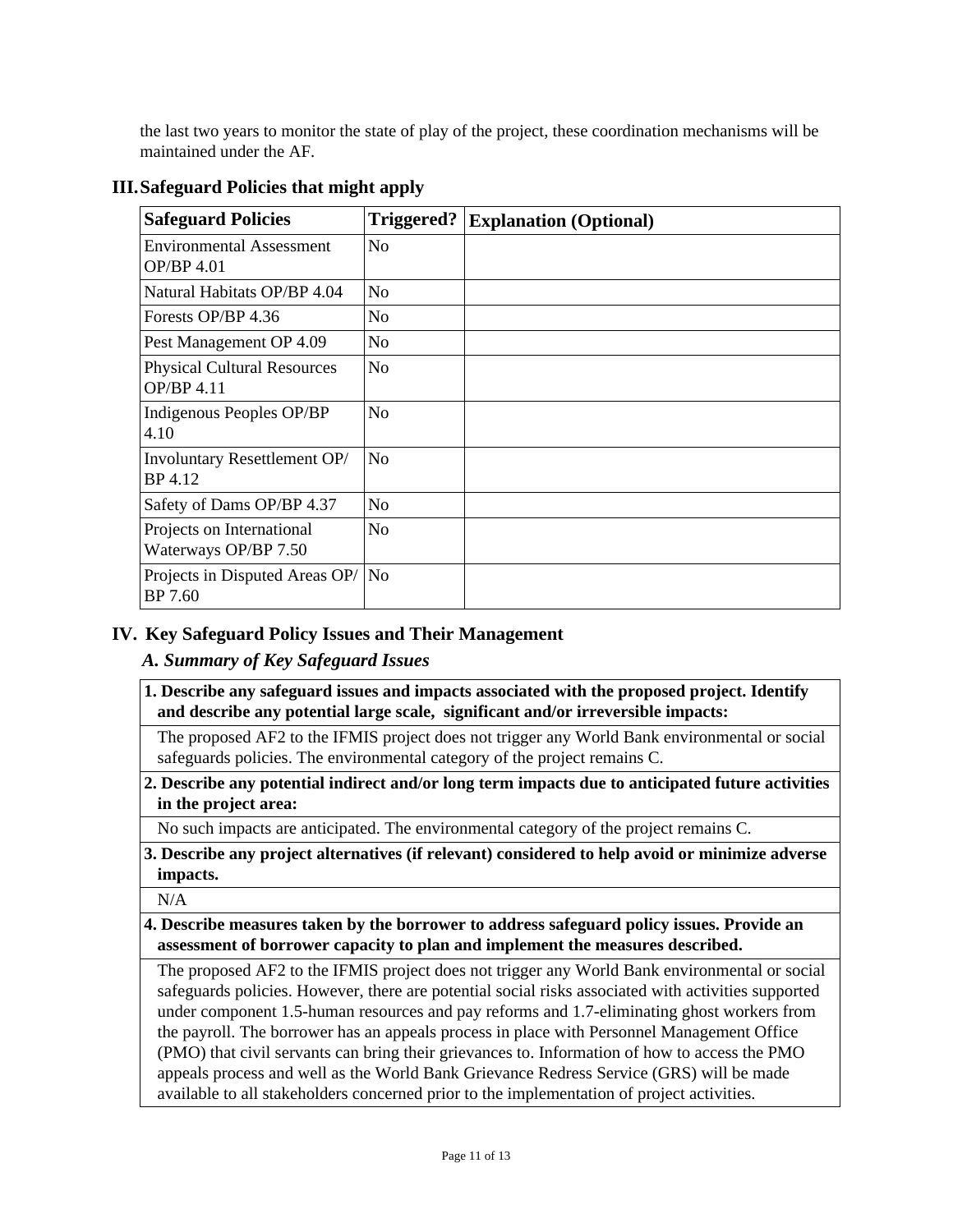the last two years to monitor the state of play of the project, these coordination mechanisms will be maintained under the AF.

| <b>Safeguard Policies</b>                         | Triggered?     | <b>Explanation (Optional)</b> |
|---------------------------------------------------|----------------|-------------------------------|
| <b>Environmental Assessment</b><br>OP/BP 4.01     | N <sub>o</sub> |                               |
| Natural Habitats OP/BP 4.04                       | N <sub>0</sub> |                               |
| Forests OP/BP 4.36                                | N <sub>o</sub> |                               |
| Pest Management OP 4.09                           | N <sub>o</sub> |                               |
| <b>Physical Cultural Resources</b><br>OP/BP 4.11  | N <sub>o</sub> |                               |
| Indigenous Peoples OP/BP<br>4.10                  | N <sub>o</sub> |                               |
| Involuntary Resettlement OP/<br>BP 4.12           | N <sub>o</sub> |                               |
| Safety of Dams OP/BP 4.37                         | N <sub>o</sub> |                               |
| Projects on International<br>Waterways OP/BP 7.50 | N <sub>o</sub> |                               |
| Projects in Disputed Areas OP/<br>BP 7.60         | No             |                               |

# **III.Safeguard Policies that might apply**

# **IV. Key Safeguard Policy Issues and Their Management**

# *A. Summary of Key Safeguard Issues*

**1. Describe any safeguard issues and impacts associated with the proposed project. Identify and describe any potential large scale, significant and/or irreversible impacts:**

The proposed AF2 to the IFMIS project does not trigger any World Bank environmental or social safeguards policies. The environmental category of the project remains C.

**2. Describe any potential indirect and/or long term impacts due to anticipated future activities in the project area:**

No such impacts are anticipated. The environmental category of the project remains C.

**3. Describe any project alternatives (if relevant) considered to help avoid or minimize adverse impacts.**

N/A

#### **4. Describe measures taken by the borrower to address safeguard policy issues. Provide an assessment of borrower capacity to plan and implement the measures described.**

The proposed AF2 to the IFMIS project does not trigger any World Bank environmental or social safeguards policies. However, there are potential social risks associated with activities supported under component 1.5-human resources and pay reforms and 1.7-eliminating ghost workers from the payroll. The borrower has an appeals process in place with Personnel Management Office (PMO) that civil servants can bring their grievances to. Information of how to access the PMO appeals process and well as the World Bank Grievance Redress Service (GRS) will be made available to all stakeholders concerned prior to the implementation of project activities.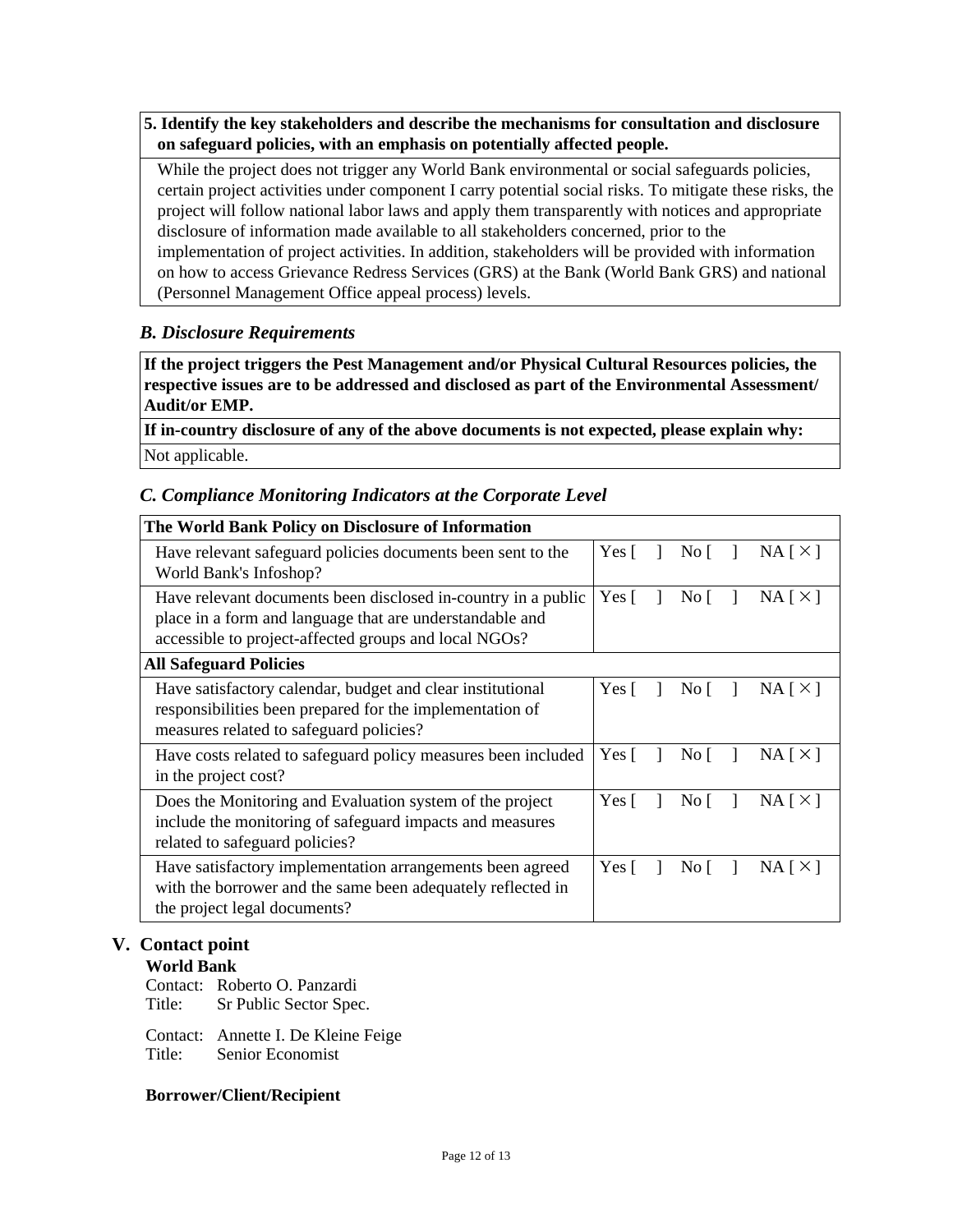**5. Identify the key stakeholders and describe the mechanisms for consultation and disclosure on safeguard policies, with an emphasis on potentially affected people.**

While the project does not trigger any World Bank environmental or social safeguards policies, certain project activities under component I carry potential social risks. To mitigate these risks, the project will follow national labor laws and apply them transparently with notices and appropriate disclosure of information made available to all stakeholders concerned, prior to the implementation of project activities. In addition, stakeholders will be provided with information on how to access Grievance Redress Services (GRS) at the Bank (World Bank GRS) and national (Personnel Management Office appeal process) levels.

# *B. Disclosure Requirements*

**If the project triggers the Pest Management and/or Physical Cultural Resources policies, the respective issues are to be addressed and disclosed as part of the Environmental Assessment/ Audit/or EMP.**

**If in-country disclosure of any of the above documents is not expected, please explain why:** Not applicable.

# *C. Compliance Monitoring Indicators at the Corporate Level*

| The World Bank Policy on Disclosure of Information                                                                                                                                 |              |             |          |
|------------------------------------------------------------------------------------------------------------------------------------------------------------------------------------|--------------|-------------|----------|
| Have relevant safeguard policies documents been sent to the<br>World Bank's Infoshop?                                                                                              |              | No $\lceil$ | NA [ X ] |
| Have relevant documents been disclosed in-country in a public<br>place in a form and language that are understandable and<br>accessible to project-affected groups and local NGOs? |              | No $\lceil$ | NA [ X ] |
| <b>All Safeguard Policies</b>                                                                                                                                                      |              |             |          |
| Have satisfactory calendar, budget and clear institutional<br>responsibilities been prepared for the implementation of<br>measures related to safeguard policies?                  | Yes $\lceil$ | No $\lceil$ | NA [ X ] |
| Have costs related to safeguard policy measures been included<br>in the project cost?                                                                                              | Yes [        | No I        | NA [ X ] |
| Does the Monitoring and Evaluation system of the project<br>include the monitoring of safeguard impacts and measures<br>related to safeguard policies?                             | Yes [        | No [        | NA [ X ] |
| Have satisfactory implementation arrangements been agreed<br>with the borrower and the same been adequately reflected in<br>the project legal documents?                           |              | No [        | NA[X]    |

#### **V. Contact point**

**World Bank**

Contact: Roberto O. Panzardi Title: Sr Public Sector Spec.

Contact: Annette I. De Kleine Feige Title: Senior Economist

#### **Borrower/Client/Recipient**